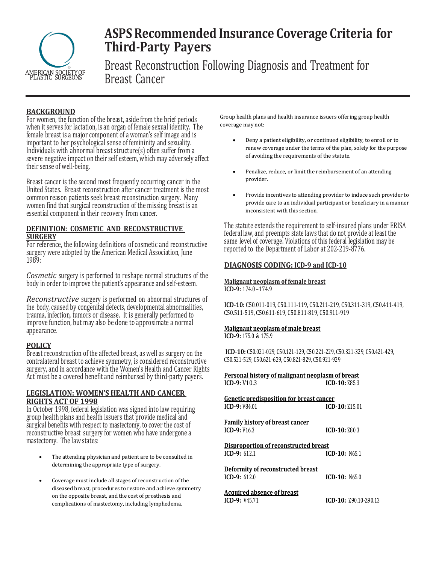

# **ASPS Recommended Insurance Coverage Criteria for Third-Party Payers**

Breast Reconstruction Following Diagnosis and Treatment for Breast Cancer

## **BACKGROUND**

For women, the function of the breast, aside from the brief periods when it serves for lactation, is an organ of female sexual identity. The female breast is a major component of a woman's self image and is important to her psychological sense of femininity and sexuality. Individuals with abnormal breast structure(s) often suffer from a severe negative impact on their self esteem, which may adversely affect their sense of well-being.

Breast cancer is the second most frequently occurring cancer in the United States. Breast reconstruction after cancer treatment is the most common reason patients seek breast reconstruction surgery. Many women find that surgical reconstruction of the missing breast is an essential component in their recovery from cancer.

## **DEFINITION: COSMETIC AND RECONSTRUCTIVE SURGERY**

For reference, the following definitions of cosmetic and reconstructive surgery were adopted by the American Medical Association, June 1989:

*Cosmetic* surgery is performed to reshape normal structures of the body in order to improve the patient's appearance and self-esteem.

*Reconstructive* surgery is performed on abnormal structures of the body, caused by congenital defects, developmental abnormalities, trauma, infection, tumors or disease. It is generally performed to improve function, but may also be done to approximate a normal appearance.

## **POLICY**

Breast reconstruction of the affected breast, as well as surgery on the contralateral breast to achieve symmetry, is considered reconstructive surgery, and in accordance with the Women's Health and Cancer Rights Act must be a covered benefit and reimbursed by third-party payers.

### **LEGISLATION: WOMEN'S HEALTH AND CANCER RIGHTS ACT OF 1998**

In October 1998, federal legislation was signed into law requiring group health plans and health issuers that provide medical and surgical benefits with respect to mastectomy, to cover the cost of reconstructive breast surgery for women who have undergone a mastectomy. The law states:

- The attending physician and patient are to be consulted in determining the appropriate type of surgery.
- Coverage must include all stages of reconstruction of the diseased breast, procedures to restore and achieve symmetry on the opposite breast, and the cost of prosthesis and complications of mastectomy, including lymphedema.

Group health plans and health insurance issuers offering group health coverage may not:

- Deny a patient eligibility, or continued eligibility, to enroll or to renew coverage under the terms of the plan, solely for the purpose of avoiding the requirements of the statute.
- Penalize, reduce, or limit the reimbursement of an attending provider.
- Provide incentives to attending provider to induce such provider to provide care to an individual participant or beneficiary in a manner inconsistent with this section.

The statute extends the requirement to self-insured plans under ERISA federal law, and preempts state laws that do not provide at least the same level of coverage. Violations of this federal legislation may be reported to the Department of Labor at 202-219-8776.

## **DIAGNOSIS CODING: ICD-9 and ICD-10**

#### **Malignant neoplasm of female breast ICD-9:** 174.0–174.9

**ICD-10**: C50.011-019, C50.111-119, C50.211-219, C50.311-319, C50.411-419, C50.511-519, C50.611-619, C50.811-819, C50.911-919

# **Malignant neoplasm of male breast**

**ICD-9:** 175.0 & 175.9

**ICD-10:** C50.021-029, C50.121-129, C50.221-229, C50.321-329, C50.421-429, C50.521-529, C50.621-629, C50.821-829, C50.921-929

**Personal history of malignant neoplasm of breast ICD-9:** V10.3 **ICD-10:** Z85.3

**Genetic predisposition for breast cancer ICD-9:** V84.01 **ICD-10:** Z15.01

**Family history of breast cancer ICD-9:** V16.3 **ICD-10:** Z80.3

**Disproportion of reconstructed breast ICD-9:** 612.1 **ICD-10:** N65.1

**Deformity of reconstructed breast ICD-9:** 612.0 **ICD-10:** N65.0

**Acquired absence of breast ICD-9:** V45.71 **ICD-10:** Z90.10-Z90.13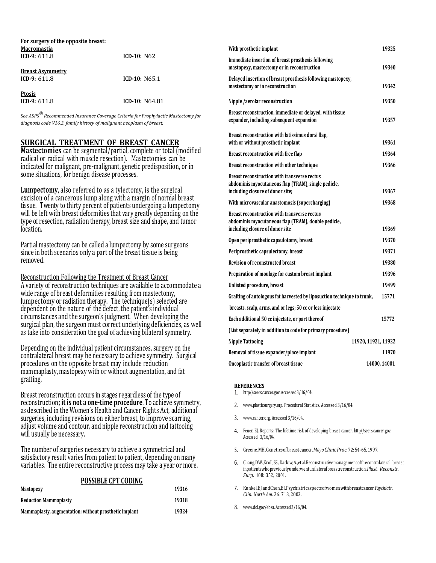| For surgery of the opposite breast:<br><b>Macromastia</b><br>ICD-9: $611.8$ | $ICD-10: N62$    |
|-----------------------------------------------------------------------------|------------------|
| <b>Breast Asymmetry</b><br>ICD-9: $611.8$                                   | $ICD-10: N65.1$  |
| <b>Ptosis</b><br>ICD-9: $611.8$                                             | $ICD-10: N64.81$ |

*See ASPS® Recommended Insurance Coverage Criteria for Prophylactic Mastectomy for diagnosis code V16.3, family history of malignant neoplasm of breast.* 

## **SURGICAL TREATMENT OF BREAST CANCER**

**Mastectomies** can be segmental/partial, complete or total (modified radical or radical with muscle resection). Mastectomies can be indicated for malignant, pre-malignant, genetic predisposition, or in some situations, for benign disease processes.

**Lumpectomy**, also referred to as a tylectomy, is the surgical excision of a cancerous lump along with a margin of normal breast tissue. Twenty to thirty percent of patients undergoing a lumpectomy will be left with breast deformities that vary greatly depending on the type of resection, radiation therapy, breast size and shape, and tumor location.

Partial mastectomy can be called a lumpectomy by some surgeons since in both scenarios only a part of the breast tissue is being removed.

Reconstruction Following the Treatment of Breast Cancer A variety of reconstruction techniques are available to accommodate a wide range of breast deformities resulting from mastectomy, lumpectomy or radiation therapy. The technique(s) selected are dependent on the nature of the defect, the patient's individual circumstances and the surgeon's judgment. When developing the surgical plan, the surgeon must correct underlying deficiencies, as well as take into consideration the goal of achieving bilateral symmetry.

Depending on the individual patient circumstances, surgery on the contralateral breast may be necessary to achieve symmetry. Surgical procedures on the opposite breast may include reduction mammaplasty, mastopexy with or without augmentation, and fat grafting.

Breast reconstruction occurs in stages regardless of the type of reconstruction**; it is not a one-time procedure**. To achieve symmetry, as described in the Women's Health and Cancer Rights Act, additional surgeries, including revisions on either breast, to improve scarring, adjust volume and contour, and nipple reconstruction and tattooing will usually be necessary.

The number of surgeries necessary to achieve a symmetrical and satisfactory result varies from patient to patient, depending on many variables. The entire reconstructive process may take a year or more.

#### **POSSIBLE CPT CODING**

| Mastopexy                                             | 19316 |
|-------------------------------------------------------|-------|
| <b>Reduction Mammaplasty</b>                          | 19318 |
| Mammaplasty, augmentation: without prosthetic implant | 19324 |

| With prosthetic implant                                                                                                                        | 19325        |  |
|------------------------------------------------------------------------------------------------------------------------------------------------|--------------|--|
| Immediate insertion of breast prosthesis following<br>mastopexy, mastectomy or in reconstruction                                               | 19340        |  |
| Delayed insertion of breast prosthesis following mastopexy,<br>mastectomy or in reconstruction                                                 | 19342        |  |
| Nipple /aerolar reconstruction                                                                                                                 | 19350        |  |
| Breast reconstruction, immediate or delayed, with tissue<br>expander, including subsequent expansion                                           | 19357        |  |
| Breast reconstruction with latissimus dorsi flap,<br>with or without prosthetic implant                                                        | 19361        |  |
| Breast reconstruction with free flap                                                                                                           | 19364        |  |
| Breast reconstruction with other technique                                                                                                     | 19366        |  |
| <b>Breast reconstruction with transverse rectus</b><br>abdominis myocutaneous flap (TRAM), single pedicle,<br>including closure of donor site; | 19367        |  |
| With microvascular anastomosis (supercharging)                                                                                                 | 19368        |  |
| <b>Breast reconstruction with transverse rectus</b><br>abdominis myocutaneous flap (TRAM), double pedicle,                                     |              |  |
| including closure of donor site                                                                                                                | 19369        |  |
| Open periprosthetic capsulotomy, breast                                                                                                        | 19370        |  |
| Periprosthetic capsulectomy, breast                                                                                                            | 19371        |  |
| <b>Revision of reconstructed breast</b>                                                                                                        | 19380        |  |
| Preparation of moulage for custom breast implant                                                                                               | 19396        |  |
| Unlisted procedure, breast                                                                                                                     | 19499        |  |
| Grafting of autologous fat harvested by liposuction technique to trunk,                                                                        | 15771        |  |
| breasts, scalp, arms, and or legs; 50 cc or less injectate                                                                                     |              |  |
| Each additional 50 cc injectate, or part thereof                                                                                               | 15772        |  |
| (List separately in addition to code for primary procedure)                                                                                    |              |  |
| <b>Nipple Tattooing</b><br>11920, 11921, 11922                                                                                                 |              |  |
| Removal of tissue expander/place implant                                                                                                       | 11970        |  |
| Oncoplastic transfer of breast tissue                                                                                                          | 14000, 14001 |  |

#### **REFERENCES**

- http//seers.cancer.gov.Accessed3/16/04.
- [www.plasticsurgery.org.](http://www.plasticsurgery.org/) Procedural Statistics. Accessed 3/16/04.
- [www.cancer.org.](http://www.cancer.org/) Accessed 3/16/04.
- Feuer, EJ. Reports: The lifetime risk of developing breast cancer. http//seers.cancer.gov. Accessed 3/16/04.
- Greene,MH.Geneticsofbreastcancer. *Mayo ClinicProc.*72:54-65,1997.
- Chang,DW.,Kroll,SS.,Dackiw,A.,etal.Reconstructivemanagementofthecontralateral breast inpatientswhopreviouslyunderwentunilateralbreastreconstruction.*Plast. Reconstr. Surg.* 108: 352, 2001.
- 7. Kunkel, EJ.andChen, EI.Psychiatricaspectsofwomenwithbreastcancer. Psychiatr. *Clin. North Am.* 26: 713, 2003.
- [www.dol.gov/ebsa.A](http://www.dol.gov/ebsa)ccessed3/16/04.